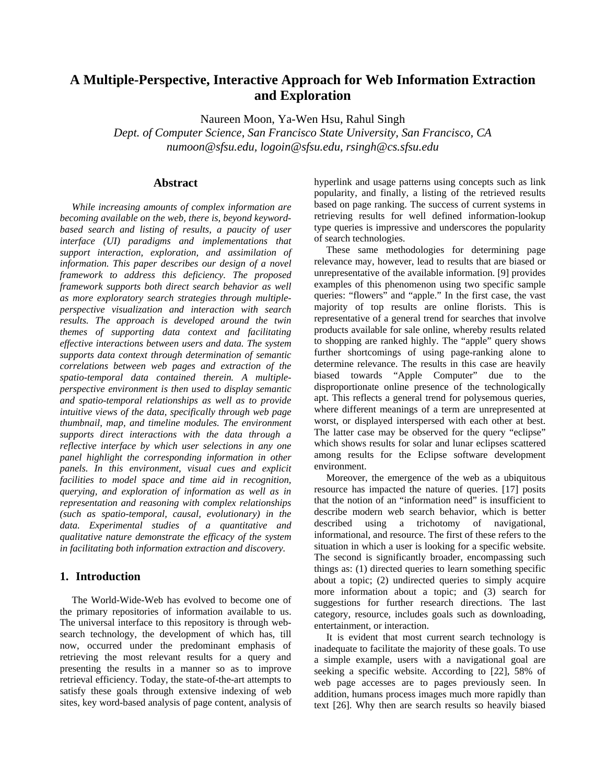# **A Multiple-Perspective, Interactive Approach for Web Information Extraction and Exploration**

Naureen Moon, Ya-Wen Hsu, Rahul Singh

*Dept. of Computer Science, San Francisco State University, San Francisco, CA numoon@sfsu.edu, logoin@sfsu.edu, [rsingh@cs.sfsu.edu](mailto:rsingh@cs.sfsu.edu)*

#### **Abstract**

*While increasing amounts of complex information are becoming available on the web, there is, beyond keywordbased search and listing of results, a paucity of user interface (UI) paradigms and implementations that support interaction, exploration, and assimilation of information. This paper describes our design of a novel framework to address this deficiency. The proposed framework supports both direct search behavior as well as more exploratory search strategies through multipleperspective visualization and interaction with search results. The approach is developed around the twin themes of supporting data context and facilitating effective interactions between users and data. The system supports data context through determination of semantic correlations between web pages and extraction of the spatio-temporal data contained therein. A multipleperspective environment is then used to display semantic and spatio-temporal relationships as well as to provide intuitive views of the data, specifically through web page thumbnail, map, and timeline modules. The environment supports direct interactions with the data through a reflective interface by which user selections in any one panel highlight the corresponding information in other panels. In this environment, visual cues and explicit facilities to model space and time aid in recognition, querying, and exploration of information as well as in representation and reasoning with complex relationships (such as spatio-temporal, causal, evolutionary) in the data. Experimental studies of a quantitative and qualitative nature demonstrate the efficacy of the system in facilitating both information extraction and discovery.* 

# **1. Introduction**

The World-Wide-Web has evolved to become one of the primary repositories of information available to us. The universal interface to this repository is through websearch technology, the development of which has, till now, occurred under the predominant emphasis of retrieving the most relevant results for a query and presenting the results in a manner so as to improve retrieval efficiency. Today, the state-of-the-art attempts to satisfy these goals through extensive indexing of web sites, key word-based analysis of page content, analysis of hyperlink and usage patterns using concepts such as link popularity, and finally, a listing of the retrieved results based on page ranking. The success of current systems in retrieving results for well defined information-lookup type queries is impressive and underscores the popularity of search technologies.

These same methodologies for determining page relevance may, however, lead to results that are biased or unrepresentative of the available information. [9] provides examples of this phenomenon using two specific sample queries: "flowers" and "apple." In the first case, the vast majority of top results are online florists. This is representative of a general trend for searches that involve products available for sale online, whereby results related to shopping are ranked highly. The "apple" query shows further shortcomings of using page-ranking alone to determine relevance. The results in this case are heavily biased towards "Apple Computer" due to the disproportionate online presence of the technologically apt. This reflects a general trend for polysemous queries, where different meanings of a term are unrepresented at worst, or displayed interspersed with each other at best. The latter case may be observed for the query "eclipse" which shows results for solar and lunar eclipses scattered among results for the Eclipse software development environment.

Moreover, the emergence of the web as a ubiquitous resource has impacted the nature of queries. [17] posits that the notion of an "information need" is insufficient to describe modern web search behavior, which is better described using a trichotomy of navigational, informational, and resource. The first of these refers to the situation in which a user is looking for a specific website. The second is significantly broader, encompassing such things as: (1) directed queries to learn something specific about a topic; (2) undirected queries to simply acquire more information about a topic; and (3) search for suggestions for further research directions. The last category, resource, includes goals such as downloading, entertainment, or interaction.

It is evident that most current search technology is inadequate to facilitate the majority of these goals. To use a simple example, users with a navigational goal are seeking a specific website. According to [22], 58% of web page accesses are to pages previously seen. In addition, humans process images much more rapidly than text [26]. Why then are search results so heavily biased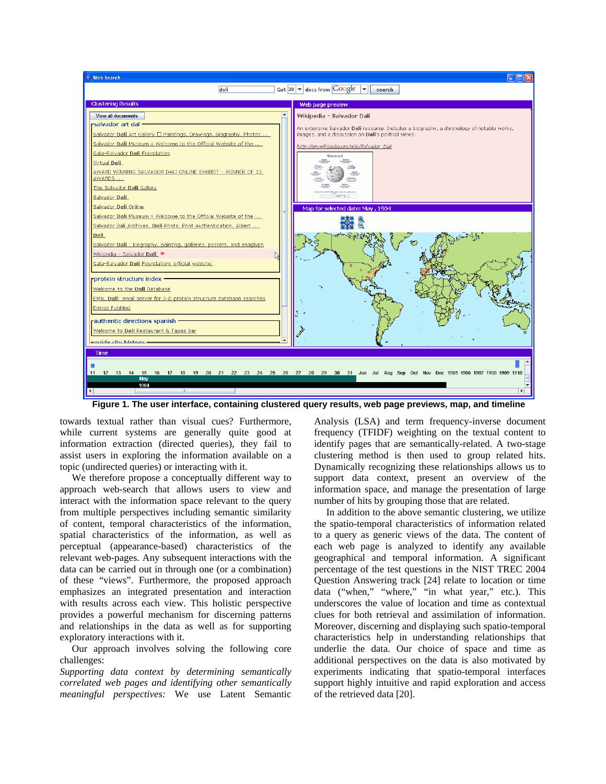

**Figure 1. The user interface, containing clustered query results, web page previews, map, and timeline**

towards textual rather than visual cues? Furthermore, while current systems are generally quite good at information extraction (directed queries), they fail to assist users in exploring the information available on a topic (undirected queries) or interacting with it.

We therefore propose a conceptually different way to approach web-search that allows users to view and interact with the information space relevant to the query from multiple perspectives including semantic similarity of content, temporal characteristics of the information, spatial characteristics of the information, as well as perceptual (appearance-based) characteristics of the relevant web-pages. Any subsequent interactions with the data can be carried out in through one (or a combination) of these "views". Furthermore, the proposed approach emphasizes an integrated presentation and interaction with results across each view. This holistic perspective provides a powerful mechanism for discerning patterns and relationships in the data as well as for supporting exploratory interactions with it.

Our approach involves solving the following core challenges:

*Supporting data context by determining semantically correlated web pages and identifying other semantically meaningful perspectives:* We use Latent Semantic

Analysis (LSA) and term frequency-inverse document frequency (TFIDF) weighting on the textual content to identify pages that are semantically-related. A two-stage clustering method is then used to group related hits. Dynamically recognizing these relationships allows us to support data context, present an overview of the information space, and manage the presentation of large number of hits by grouping those that are related.

In addition to the above semantic clustering, we utilize the spatio-temporal characteristics of information related to a query as generic views of the data. The content of each web page is analyzed to identify any available geographical and temporal information. A significant percentage of the test questions in the NIST TREC 2004 Question Answering track [24] relate to location or time data ("when," "where," "in what year," etc.). This underscores the value of location and time as contextual clues for both retrieval and assimilation of information. Moreover, discerning and displaying such spatio-temporal characteristics help in understanding relationships that underlie the data. Our choice of space and time as additional perspectives on the data is also motivated by experiments indicating that spatio-temporal interfaces support highly intuitive and rapid exploration and access of the retrieved data [20].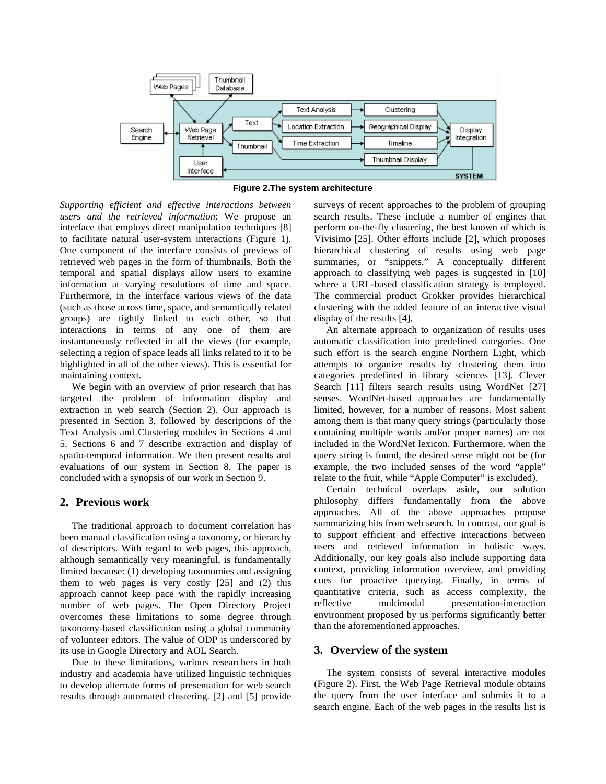

**Figure 2.The system architecture** 

*Supporting efficient and effective interactions between users and the retrieved information*: We propose an interface that employs direct manipulation techniques [8] to facilitate natural user-system interactions (Figure 1). One component of the interface consists of previews of retrieved web pages in the form of thumbnails. Both the temporal and spatial displays allow users to examine information at varying resolutions of time and space. Furthermore, in the interface various views of the data (such as those across time, space, and semantically related groups) are tightly linked to each other, so that interactions in terms of any one of them are instantaneously reflected in all the views (for example, selecting a region of space leads all links related to it to be highlighted in all of the other views). This is essential for maintaining context.

We begin with an overview of prior research that has targeted the problem of information display and extraction in web search (Section 2). Our approach is presented in Section 3, followed by descriptions of the Text Analysis and Clustering modules in Sections 4 and 5. Sections 6 and 7 describe extraction and display of spatio-temporal information. We then present results and evaluations of our system in Section 8. The paper is concluded with a synopsis of our work in Section 9.

# **2. Previous work**

The traditional approach to document correlation has been manual classification using a taxonomy, or hierarchy of descriptors. With regard to web pages, this approach, although semantically very meaningful, is fundamentally limited because: (1) developing taxonomies and assigning them to web pages is very costly [25] and (2) this approach cannot keep pace with the rapidly increasing number of web pages. The Open Directory Project overcomes these limitations to some degree through taxonomy-based classification using a global community of volunteer editors. The value of ODP is underscored by its use in Google Directory and AOL Search.

Due to these limitations, various researchers in both industry and academia have utilized linguistic techniques to develop alternate forms of presentation for web search results through automated clustering. [2] and [5] provide

surveys of recent approaches to the problem of grouping search results. These include a number of engines that perform on-the-fly clustering, the best known of which is Vivisimo [25]. Other efforts include [2], which proposes hierarchical clustering of results using web page summaries, or "snippets." A conceptually different approach to classifying web pages is suggested in [10] where a URL-based classification strategy is employed. The commercial product Grokker provides hierarchical clustering with the added feature of an interactive visual display of the results [4].

An alternate approach to organization of results uses automatic classification into predefined categories. One such effort is the search engine Northern Light, which attempts to organize results by clustering them into categories predefined in library sciences [13]. Clever Search [11] filters search results using WordNet [27] senses. WordNet-based approaches are fundamentally limited, however, for a number of reasons. Most salient among them is that many query strings (particularly those containing multiple words and/or proper names) are not included in the WordNet lexicon. Furthermore, when the query string is found, the desired sense might not be (for example, the two included senses of the word "apple" relate to the fruit, while "Apple Computer" is excluded).

Certain technical overlaps aside, our solution philosophy differs fundamentally from the above approaches. All of the above approaches propose summarizing hits from web search. In contrast, our goal is to support efficient and effective interactions between users and retrieved information in holistic ways. Additionally, our key goals also include supporting data context, providing information overview, and providing cues for proactive querying. Finally, in terms of quantitative criteria, such as access complexity, the reflective multimodal presentation-interaction environment proposed by us performs significantly better than the aforementioned approaches.

# **3. Overview of the system**

The system consists of several interactive modules (Figure 2). First, the Web Page Retrieval module obtains the query from the user interface and submits it to a search engine. Each of the web pages in the results list is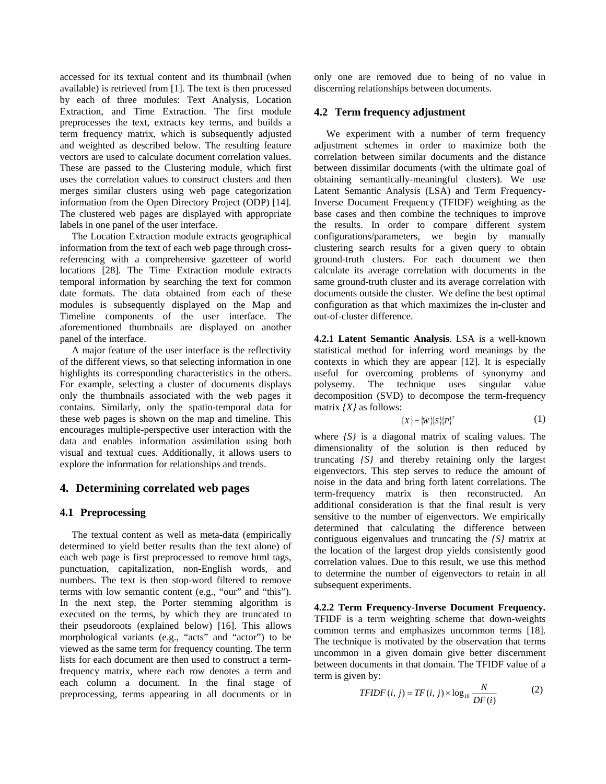accessed for its textual content and its thumbnail (when available) is retrieved from [1]. The text is then processed by each of three modules: Text Analysis, Location Extraction, and Time Extraction. The first module preprocesses the text, extracts key terms, and builds a term frequency matrix, which is subsequently adjusted and weighted as described below. The resulting feature vectors are used to calculate document correlation values. These are passed to the Clustering module, which first uses the correlation values to construct clusters and then merges similar clusters using web page categorization information from the Open Directory Project (ODP) [14]. The clustered web pages are displayed with appropriate labels in one panel of the user interface.

The Location Extraction module extracts geographical information from the text of each web page through crossreferencing with a comprehensive gazetteer of world locations [28]. The Time Extraction module extracts temporal information by searching the text for common date formats. The data obtained from each of these modules is subsequently displayed on the Map and Timeline components of the user interface. The aforementioned thumbnails are displayed on another panel of the interface.

A major feature of the user interface is the reflectivity of the different views, so that selecting information in one highlights its corresponding characteristics in the others. For example, selecting a cluster of documents displays only the thumbnails associated with the web pages it contains. Similarly, only the spatio-temporal data for these web pages is shown on the map and timeline. This encourages multiple-perspective user interaction with the data and enables information assimilation using both visual and textual cues. Additionally, it allows users to explore the information for relationships and trends.

#### **4. Determining correlated web pages**

## **4.1 Preprocessing**

The textual content as well as meta-data (empirically determined to yield better results than the text alone) of each web page is first preprocessed to remove html tags, punctuation, capitalization, non-English words, and numbers. The text is then stop-word filtered to remove terms with low semantic content (e.g., "our" and "this"). In the next step, the Porter stemming algorithm is executed on the terms, by which they are truncated to their pseudoroots (explained below) [16]. This allows morphological variants (e.g., "acts" and "actor") to be viewed as the same term for frequency counting. The term lists for each document are then used to construct a termfrequency matrix, where each row denotes a term and each column a document. In the final stage of preprocessing, terms appearing in all documents or in only one are removed due to being of no value in discerning relationships between documents.

#### **4.2 Term frequency adjustment**

We experiment with a number of term frequency adjustment schemes in order to maximize both the correlation between similar documents and the distance between dissimilar documents (with the ultimate goal of obtaining semantically-meaningful clusters). We use Latent Semantic Analysis (LSA) and Term Frequency-Inverse Document Frequency (TFIDF) weighting as the base cases and then combine the techniques to improve the results. In order to compare different system configurations/parameters, we begin by manually clustering search results for a given query to obtain ground-truth clusters. For each document we then calculate its average correlation with documents in the same ground-truth cluster and its average correlation with documents outside the cluster. We define the best optimal configuration as that which maximizes the in-cluster and out-of-cluster difference.

**4.2.1 Latent Semantic Analysis**. LSA is a well-known statistical method for inferring word meanings by the contexts in which they are appear [12]. It is especially useful for overcoming problems of synonymy and polysemy. The technique uses singular value decomposition (SVD) to decompose the term-frequency matrix *{X}* as follows:

$$
\{X\} = \{W\} \{S\} \{P\}^T \tag{1}
$$

where *{S}* is a diagonal matrix of scaling values. The dimensionality of the solution is then reduced by truncating *{S}* and thereby retaining only the largest eigenvectors. This step serves to reduce the amount of noise in the data and bring forth latent correlations. The term-frequency matrix is then reconstructed. An additional consideration is that the final result is very sensitive to the number of eigenvectors. We empirically determined that calculating the difference between contiguous eigenvalues and truncating the *{S}* matrix at the location of the largest drop yields consistently good correlation values. Due to this result, we use this method to determine the number of eigenvectors to retain in all subsequent experiments.

**4.2.2 Term Frequency-Inverse Document Frequency.**  TFIDF is a term weighting scheme that down-weights common terms and emphasizes uncommon terms [18]. The technique is motivated by the observation that terms uncommon in a given domain give better discernment between documents in that domain. The TFIDF value of a term is given by:

$$
TFIDF(i, j) = TF(i, j) \times \log_{10} \frac{N}{DF(i)}
$$
 (2)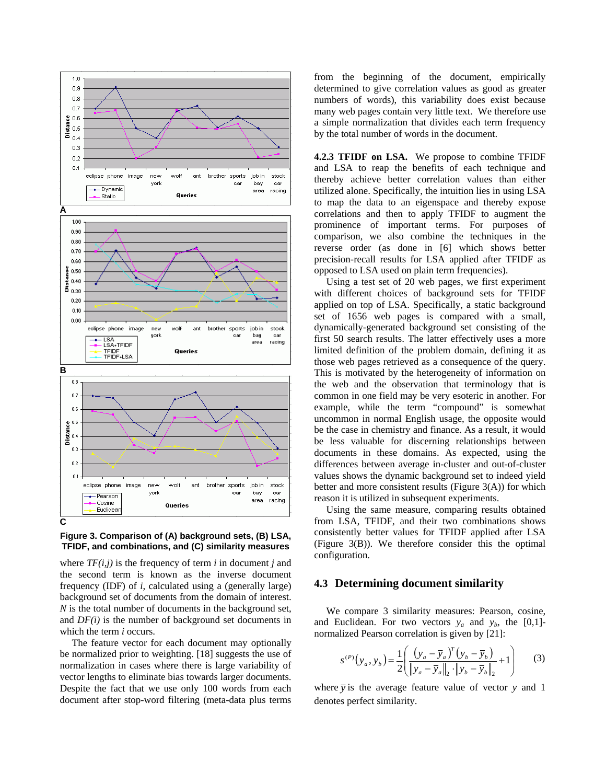

#### **Figure 3. Comparison of (A) background sets, (B) LSA, TFIDF, and combinations, and (C) similarity measures**

where  $TF(i, j)$  is the frequency of term *i* in document *j* and the second term is known as the inverse document frequency (IDF) of *i*, calculated using a (generally large) background set of documents from the domain of interest. *N* is the total number of documents in the background set, and *DF(i)* is the number of background set documents in which the term *i* occurs.

The feature vector for each document may optionally be normalized prior to weighting. [18] suggests the use of normalization in cases where there is large variability of vector lengths to eliminate bias towards larger documents. Despite the fact that we use only 100 words from each document after stop-word filtering (meta-data plus terms from the beginning of the document, empirically determined to give correlation values as good as greater numbers of words), this variability does exist because many web pages contain very little text. We therefore use a simple normalization that divides each term frequency by the total number of words in the document.

**4.2.3 TFIDF on LSA.** We propose to combine TFIDF and LSA to reap the benefits of each technique and thereby achieve better correlation values than either utilized alone. Specifically, the intuition lies in using LSA to map the data to an eigenspace and thereby expose correlations and then to apply TFIDF to augment the prominence of important terms. For purposes of comparison, we also combine the techniques in the reverse order (as done in [6] which shows better precision-recall results for LSA applied after TFIDF as opposed to LSA used on plain term frequencies).

Using a test set of 20 web pages, we first experiment with different choices of background sets for TFIDF applied on top of LSA. Specifically, a static background set of 1656 web pages is compared with a small, dynamically-generated background set consisting of the first 50 search results. The latter effectively uses a more limited definition of the problem domain, defining it as those web pages retrieved as a consequence of the query. This is motivated by the heterogeneity of information on the web and the observation that terminology that is common in one field may be very esoteric in another. For example, while the term "compound" is somewhat uncommon in normal English usage, the opposite would be the case in chemistry and finance. As a result, it would be less valuable for discerning relationships between documents in these domains. As expected, using the differences between average in-cluster and out-of-cluster values shows the dynamic background set to indeed yield better and more consistent results (Figure 3(A)) for which reason it is utilized in subsequent experiments.

Using the same measure, comparing results obtained from LSA, TFIDF, and their two combinations shows consistently better values for TFIDF applied after LSA (Figure 3(B)). We therefore consider this the optimal configuration.

#### **4.3 Determining document similarity**

We compare 3 similarity measures: Pearson, cosine, and Euclidean. For two vectors  $y_a$  and  $y_b$ , the [0,1]normalized Pearson correlation is given by [21]:

$$
s^{(P)}(y_a, y_b) = \frac{1}{2} \left( \frac{(y_a - \overline{y}_a)^T (y_b - \overline{y}_b)}{\|y_a - \overline{y}_a\|_2 \cdot \|y_b - \overline{y}_b\|_2} + 1 \right)
$$
(3)

where  $\bar{y}$  is the average feature value of vector *y* and 1 denotes perfect similarity.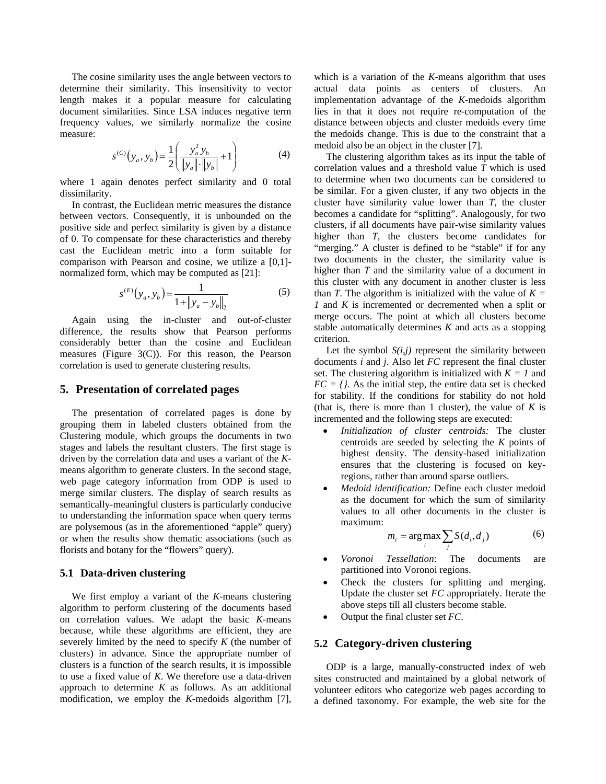The cosine similarity uses the angle between vectors to determine their similarity. This insensitivity to vector length makes it a popular measure for calculating document similarities. Since LSA induces negative term frequency values, we similarly normalize the cosine measure:

$$
s^{(C)}(y_a, y_b) = \frac{1}{2} \left( \frac{y_a^T y_b}{\|y_a\| \cdot \|y_b\|} + 1 \right)
$$
(4)

where 1 again denotes perfect similarity and 0 total dissimilarity.

In contrast, the Euclidean metric measures the distance between vectors. Consequently, it is unbounded on the positive side and perfect similarity is given by a distance of 0. To compensate for these characteristics and thereby cast the Euclidean metric into a form suitable for comparison with Pearson and cosine, we utilize a [0,1] normalized form, which may be computed as [21]:

$$
s^{(E)}(y_a, y_b) = \frac{1}{1 + \|y_a - y_b\|_2}
$$
 (5)

Again using the in-cluster and out-of-cluster difference, the results show that Pearson performs considerably better than the cosine and Euclidean measures (Figure 3(C)). For this reason, the Pearson correlation is used to generate clustering results.

#### **5. Presentation of correlated pages**

The presentation of correlated pages is done by grouping them in labeled clusters obtained from the Clustering module, which groups the documents in two stages and labels the resultant clusters. The first stage is driven by the correlation data and uses a variant of the *K*means algorithm to generate clusters. In the second stage, web page category information from ODP is used to merge similar clusters. The display of search results as semantically-meaningful clusters is particularly conducive to understanding the information space when query terms are polysemous (as in the aforementioned "apple" query) or when the results show thematic associations (such as florists and botany for the "flowers" query).

#### **5.1 Data-driven clustering**

We first employ a variant of the *K*-means clustering algorithm to perform clustering of the documents based on correlation values. We adapt the basic *K*-means because, while these algorithms are efficient, they are severely limited by the need to specify *K* (the number of clusters) in advance. Since the appropriate number of clusters is a function of the search results, it is impossible to use a fixed value of *K*. We therefore use a data-driven approach to determine *K* as follows. As an additional modification, we employ the *K*-medoids algorithm [7],

which is a variation of the *K*-means algorithm that uses actual data points as centers of clusters. An implementation advantage of the *K*-medoids algorithm lies in that it does not require re-computation of the distance between objects and cluster medoids every time the medoids change. This is due to the constraint that a medoid also be an object in the cluster [7].

The clustering algorithm takes as its input the table of correlation values and a threshold value *T* which is used to determine when two documents can be considered to be similar. For a given cluster, if any two objects in the cluster have similarity value lower than *T*, the cluster becomes a candidate for "splitting". Analogously, for two clusters, if all documents have pair-wise similarity values higher than *T*, the clusters become candidates for "merging." A cluster is defined to be "stable" if for any two documents in the cluster, the similarity value is higher than *T* and the similarity value of a document in this cluster with any document in another cluster is less than *T*. The algorithm is initialized with the value of  $K =$ *1* and *K* is incremented or decremented when a split or merge occurs. The point at which all clusters become stable automatically determines *K* and acts as a stopping criterion.

Let the symbol  $S(i, j)$  represent the similarity between documents *i* and *j*. Also let *FC* represent the final cluster set. The clustering algorithm is initialized with  $K = I$  and  $FC = \{ \}$ . As the initial step, the entire data set is checked for stability. If the conditions for stability do not hold (that is, there is more than 1 cluster), the value of  $K$  is incremented and the following steps are executed:

- *Initialization of cluster centroids:* The cluster centroids are seeded by selecting the *K* points of highest density. The density-based initialization ensures that the clustering is focused on keyregions, rather than around sparse outliers.
- *Medoid identification:* Define each cluster medoid as the document for which the sum of similarity values to all other documents in the cluster is maximum:

$$
m_c = \arg\max_i \sum_j S(d_i, d_j) \tag{6}
$$

- *Voronoi Tessellation*: The documents are partitioned into Voronoi regions.
- Check the clusters for splitting and merging. Update the cluster set *FC* appropriately. Iterate the above steps till all clusters become stable.
- Output the final cluster set *FC*.

#### **5.2 Category-driven clustering**

ODP is a large, manually-constructed index of web sites constructed and maintained by a global network of volunteer editors who categorize web pages according to a defined taxonomy. For example, the web site for the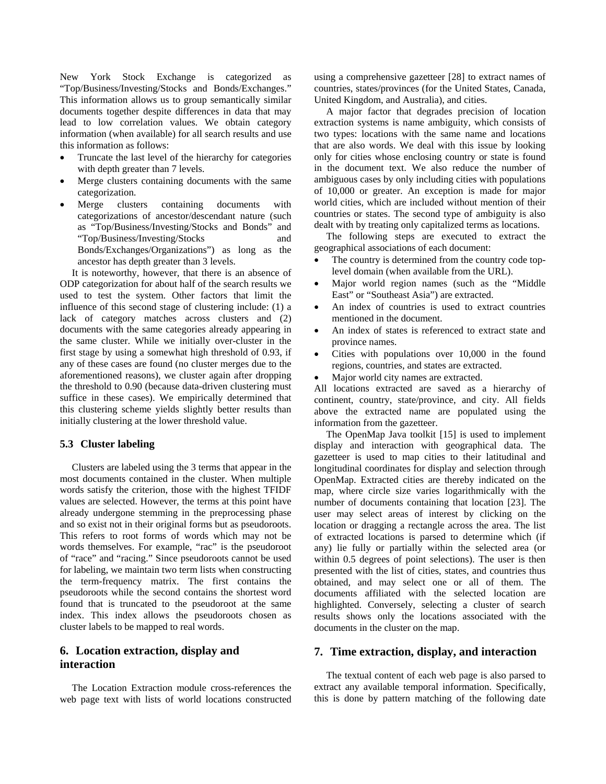New York Stock Exchange is categorized as "Top/Business/Investing/Stocks and Bonds/Exchanges." This information allows us to group semantically similar documents together despite differences in data that may lead to low correlation values. We obtain category information (when available) for all search results and use this information as follows:

- Truncate the last level of the hierarchy for categories with depth greater than 7 levels.
- Merge clusters containing documents with the same categorization.
- Merge clusters containing documents with categorizations of ancestor/descendant nature (such as "Top/Business/Investing/Stocks and Bonds" and "Top/Business/Investing/Stocks and Bonds/Exchanges/Organizations") as long as the ancestor has depth greater than 3 levels.

It is noteworthy, however, that there is an absence of ODP categorization for about half of the search results we used to test the system. Other factors that limit the influence of this second stage of clustering include: (1) a lack of category matches across clusters and (2) documents with the same categories already appearing in the same cluster. While we initially over-cluster in the first stage by using a somewhat high threshold of 0.93, if any of these cases are found (no cluster merges due to the aforementioned reasons), we cluster again after dropping the threshold to 0.90 (because data-driven clustering must suffice in these cases). We empirically determined that this clustering scheme yields slightly better results than initially clustering at the lower threshold value.

#### **5.3 Cluster labeling**

Clusters are labeled using the 3 terms that appear in the most documents contained in the cluster. When multiple words satisfy the criterion, those with the highest TFIDF values are selected. However, the terms at this point have already undergone stemming in the preprocessing phase and so exist not in their original forms but as pseudoroots. This refers to root forms of words which may not be words themselves. For example, "rac" is the pseudoroot of "race" and "racing." Since pseudoroots cannot be used for labeling, we maintain two term lists when constructing the term-frequency matrix. The first contains the pseudoroots while the second contains the shortest word found that is truncated to the pseudoroot at the same index. This index allows the pseudoroots chosen as cluster labels to be mapped to real words.

# **6. Location extraction, display and interaction**

The Location Extraction module cross-references the web page text with lists of world locations constructed using a comprehensive gazetteer [28] to extract names of countries, states/provinces (for the United States, Canada, United Kingdom, and Australia), and cities.

A major factor that degrades precision of location extraction systems is name ambiguity, which consists of two types: locations with the same name and locations that are also words. We deal with this issue by looking only for cities whose enclosing country or state is found in the document text. We also reduce the number of ambiguous cases by only including cities with populations of 10,000 or greater. An exception is made for major world cities, which are included without mention of their countries or states. The second type of ambiguity is also dealt with by treating only capitalized terms as locations.

The following steps are executed to extract the geographical associations of each document:

- The country is determined from the country code toplevel domain (when available from the URL).
- Major world region names (such as the "Middle East" or "Southeast Asia") are extracted.
- An index of countries is used to extract countries mentioned in the document.
- An index of states is referenced to extract state and province names.
- Cities with populations over 10,000 in the found regions, countries, and states are extracted.
- Major world city names are extracted.

All locations extracted are saved as a hierarchy of continent, country, state/province, and city. All fields above the extracted name are populated using the information from the gazetteer.

The OpenMap Java toolkit [15] is used to implement display and interaction with geographical data. The gazetteer is used to map cities to their latitudinal and longitudinal coordinates for display and selection through OpenMap. Extracted cities are thereby indicated on the map, where circle size varies logarithmically with the number of documents containing that location [23]. The user may select areas of interest by clicking on the location or dragging a rectangle across the area. The list of extracted locations is parsed to determine which (if any) lie fully or partially within the selected area (or within 0.5 degrees of point selections). The user is then presented with the list of cities, states, and countries thus obtained, and may select one or all of them. The documents affiliated with the selected location are highlighted. Conversely, selecting a cluster of search results shows only the locations associated with the documents in the cluster on the map.

### **7. Time extraction, display, and interaction**

The textual content of each web page is also parsed to extract any available temporal information. Specifically, this is done by pattern matching of the following date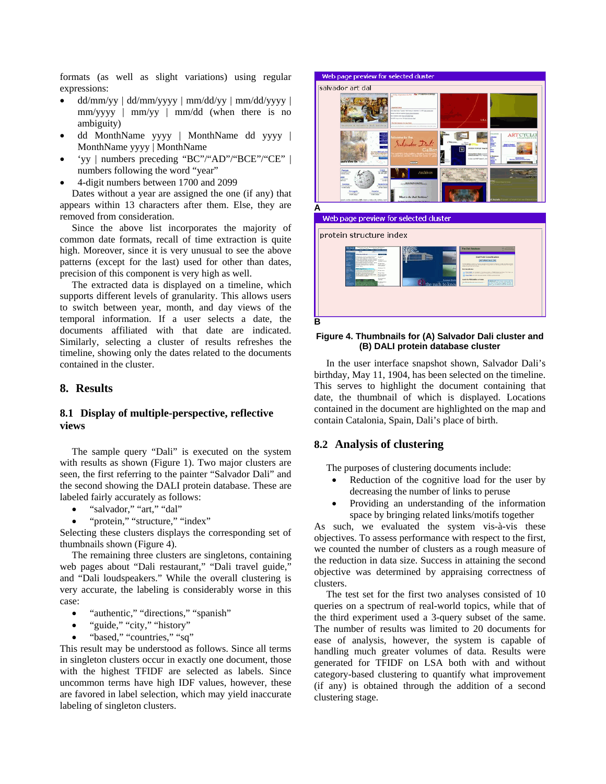formats (as well as slight variations) using regular expressions:

- dd/mm/yy | dd/mm/yyyy | mm/dd/yy | mm/dd/yyyy | mm/yyyy | mm/yy | mm/dd (when there is no ambiguity)
- dd MonthName yyyy | MonthName dd yyyy | MonthName yyyy | MonthName
- 'yy | numbers preceding "BC"/"AD"/"BCE"/"CE" | numbers following the word "year"
- 4-digit numbers between 1700 and 2099

Dates without a year are assigned the one (if any) that appears within 13 characters after them. Else, they are removed from consideration.

Since the above list incorporates the majority of common date formats, recall of time extraction is quite high. Moreover, since it is very unusual to see the above patterns (except for the last) used for other than dates, precision of this component is very high as well.

The extracted data is displayed on a timeline, which supports different levels of granularity. This allows users to switch between year, month, and day views of the temporal information. If a user selects a date, the documents affiliated with that date are indicated. Similarly, selecting a cluster of results refreshes the timeline, showing only the dates related to the documents contained in the cluster.

### **8. Results**

# **8.1 Display of multiple-perspective, reflective views**

The sample query "Dali" is executed on the system with results as shown (Figure 1). Two major clusters are seen, the first referring to the painter "Salvador Dali" and the second showing the DALI protein database. These are labeled fairly accurately as follows:

- "salvador," "art," "dal"
- "protein," "structure," "index"

Selecting these clusters displays the corresponding set of thumbnails shown (Figure 4).

The remaining three clusters are singletons, containing web pages about "Dali restaurant," "Dali travel guide," and "Dali loudspeakers." While the overall clustering is very accurate, the labeling is considerably worse in this case:

- "authentic," "directions," "spanish"
- "guide," "city," "history"
- "based," "countries," "sq"

This result may be understood as follows. Since all terms in singleton clusters occur in exactly one document, those with the highest TFIDF are selected as labels. Since uncommon terms have high IDF values, however, these are favored in label selection, which may yield inaccurate labeling of singleton clusters.



**Figure 4. Thumbnails for (A) Salvador Dali cluster and (B) DALI protein database cluster** 

In the user interface snapshot shown, Salvador Dali's birthday, May 11, 1904, has been selected on the timeline. This serves to highlight the document containing that date, the thumbnail of which is displayed. Locations contained in the document are highlighted on the map and contain Catalonia, Spain, Dali's place of birth.

# **8.2 Analysis of clustering**

The purposes of clustering documents include:

- Reduction of the cognitive load for the user by decreasing the number of links to peruse
- Providing an understanding of the information space by bringing related links/motifs together

As such, we evaluated the system vis-à-vis these objectives. To assess performance with respect to the first, we counted the number of clusters as a rough measure of the reduction in data size. Success in attaining the second objective was determined by appraising correctness of clusters.

The test set for the first two analyses consisted of 10 queries on a spectrum of real-world topics, while that of the third experiment used a 3-query subset of the same. The number of results was limited to 20 documents for ease of analysis, however, the system is capable of handling much greater volumes of data. Results were generated for TFIDF on LSA both with and without category-based clustering to quantify what improvement (if any) is obtained through the addition of a second clustering stage.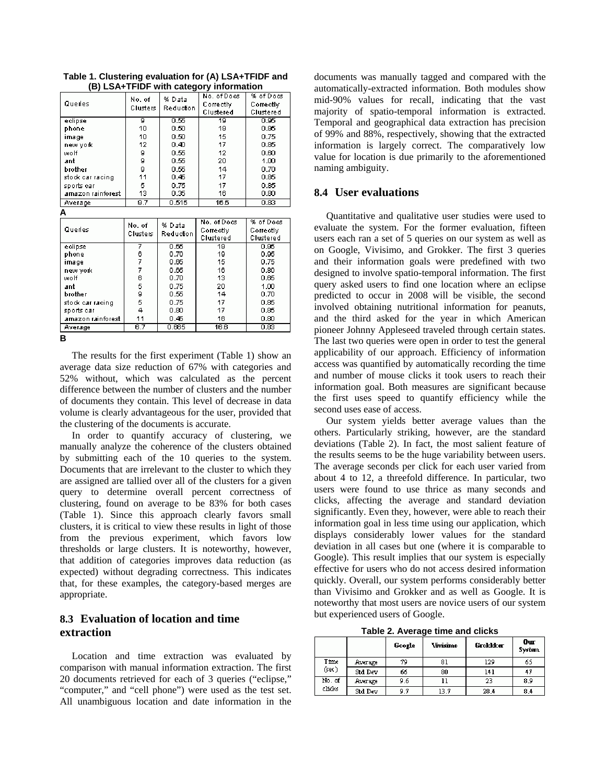| Queries           | No. of           | % Data    | No. of Docs       | % of Docs |  |  |  |
|-------------------|------------------|-----------|-------------------|-----------|--|--|--|
|                   | Clusters         | Reduction | Correctiv         | Correctiv |  |  |  |
|                   |                  |           | Clustered         | Clustered |  |  |  |
| eclipse           | ø                | 0.55      | $\overline{19}$   | 0.95      |  |  |  |
| phone             | 10               | 0.50      | 19                | 0.95      |  |  |  |
| image             | 10               | 0.50      | 15                | 0.75      |  |  |  |
| new york          | 12               | 0.40      | 17                | 0.85      |  |  |  |
| wolf              | 9                | 0.55      | 12                | 0.60      |  |  |  |
| ant               | g                | 0.55      | 20                | 1.00      |  |  |  |
| brother           | g                | 0.55      | 14                | 0.70      |  |  |  |
| stock car racing  | 11               | 0.45      | 17                | 0.85      |  |  |  |
| sports car        | 5                | 0.75      | 17                | 0.85      |  |  |  |
| amazon rainforest | 13               | 0.35      | 16                | 0.80      |  |  |  |
| Average           | $\overline{9.7}$ | 0.515     | $\overline{16.6}$ | 0.83      |  |  |  |
| A                 |                  |           |                   |           |  |  |  |
| Queries           | No. of           | % Data    | No. of Docs       | % of Docs |  |  |  |
|                   | Clusters         | Reduction | Correctiv         | Correctiv |  |  |  |
|                   |                  |           | Clustered         | Clustered |  |  |  |
| eclipse           | 7                | 0.65      | $\overline{19}$   | 0.95      |  |  |  |
| phone             | $\frac{6}{7}$    | 0.70      | 19                | 0.95      |  |  |  |
| image             |                  | 0.65      | 15                | 0.75      |  |  |  |
| new york          | 7                | 0.65      | 16                | 0.80      |  |  |  |
| wolf              | 6                | 0.70      | 13                | 0.65      |  |  |  |
| ant               | 5                | 0.75      | 20                | 1.00      |  |  |  |
| brother           | ğ                | 0.55      | 14                | 0.70      |  |  |  |
| stock car racing  | 5                | 0.75      | 17                | 0.85      |  |  |  |
| sports car        | 4                | 0.80      | 17                | 0.85      |  |  |  |
| amazon rainforest | 11               | 0.45      | 16<br>0.80        |           |  |  |  |
| Average           | $\overline{6.7}$ | 0.665     | 16.6              | 0.83      |  |  |  |
|                   |                  |           |                   |           |  |  |  |

**Table 1. Clustering evaluation for (A) LSA+TFIDF and (B) LSA+TFIDF with category information** 

**B** 

The results for the first experiment (Table 1) show an average data size reduction of 67% with categories and 52% without, which was calculated as the percent difference between the number of clusters and the number of documents they contain. This level of decrease in data volume is clearly advantageous for the user, provided that the clustering of the documents is accurate.

In order to quantify accuracy of clustering, we manually analyze the coherence of the clusters obtained by submitting each of the 10 queries to the system. Documents that are irrelevant to the cluster to which they are assigned are tallied over all of the clusters for a given query to determine overall percent correctness of clustering, found on average to be 83% for both cases (Table 1). Since this approach clearly favors small clusters, it is critical to view these results in light of those from the previous experiment, which favors low thresholds or large clusters. It is noteworthy, however, that addition of categories improves data reduction (as expected) without degrading correctness. This indicates that, for these examples, the category-based merges are appropriate.

# **8.3 Evaluation of location and time extraction**

Location and time extraction was evaluated by comparison with manual information extraction. The first 20 documents retrieved for each of 3 queries ("eclipse," "computer," and "cell phone") were used as the test set. All unambiguous location and date information in the

documents was manually tagged and compared with the automatically-extracted information. Both modules show mid-90% values for recall, indicating that the vast majority of spatio-temporal information is extracted. Temporal and geographical data extraction has precision of 99% and 88%, respectively, showing that the extracted information is largely correct. The comparatively low value for location is due primarily to the aforementioned naming ambiguity.

# **8.4 User evaluations**

Quantitative and qualitative user studies were used to evaluate the system. For the former evaluation, fifteen users each ran a set of 5 queries on our system as well as on Google, Vivisimo, and Grokker. The first 3 queries and their information goals were predefined with two designed to involve spatio-temporal information. The first query asked users to find one location where an eclipse predicted to occur in 2008 will be visible, the second involved obtaining nutritional information for peanuts, and the third asked for the year in which American pioneer Johnny Appleseed traveled through certain states. The last two queries were open in order to test the general applicability of our approach. Efficiency of information access was quantified by automatically recording the time and number of mouse clicks it took users to reach their information goal. Both measures are significant because the first uses speed to quantify efficiency while the second uses ease of access.

Our system yields better average values than the others. Particularly striking, however, are the standard deviations (Table 2). In fact, the most salient feature of the results seems to be the huge variability between users. The average seconds per click for each user varied from about 4 to 12, a threefold difference. In particular, two users were found to use thrice as many seconds and clicks, affecting the average and standard deviation significantly. Even they, however, were able to reach their information goal in less time using our application, which displays considerably lower values for the standard deviation in all cases but one (where it is comparable to Google). This result implies that our system is especially effective for users who do not access desired information quickly. Overall, our system performs considerably better than Vivisimo and Grokker and as well as Google. It is noteworthy that most users are novice users of our system but experienced users of Google.

**Table 2. Average time and clicks** 

|                  |         | Google | Vivisimo | Grokkker | 0ur<br><b>System</b> |
|------------------|---------|--------|----------|----------|----------------------|
| Time<br>(sec)    | Average | 79     | 81       | 129      | 65                   |
|                  | Std Dev | 66     | 80       | 141      | 47                   |
| No. of<br>clicks | Average | 9.6    |          | 23       | 8.9                  |
|                  | Std Dev | 9.7    | 13.7     | 28.4     | 8.4                  |